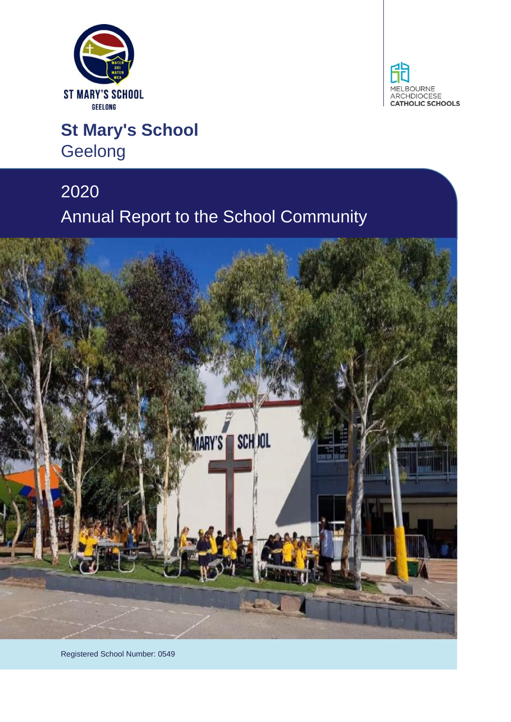



# **St Mary's School** Geelong

# 2020 Annual Report to the School Community



Registered School Number: 0549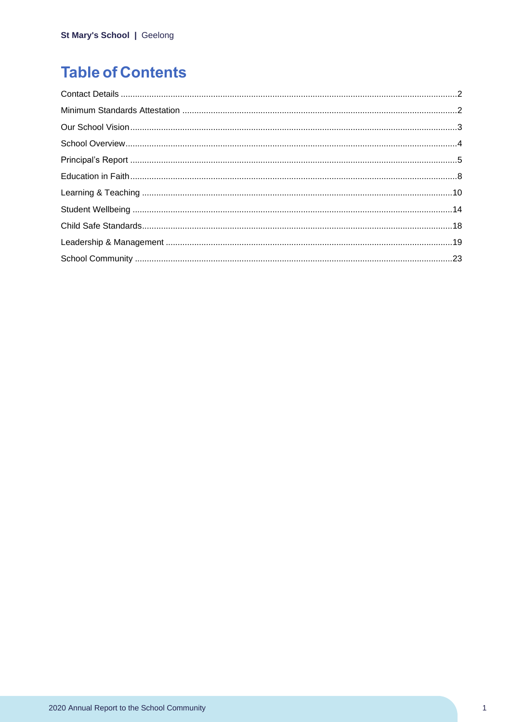# **Table of Contents**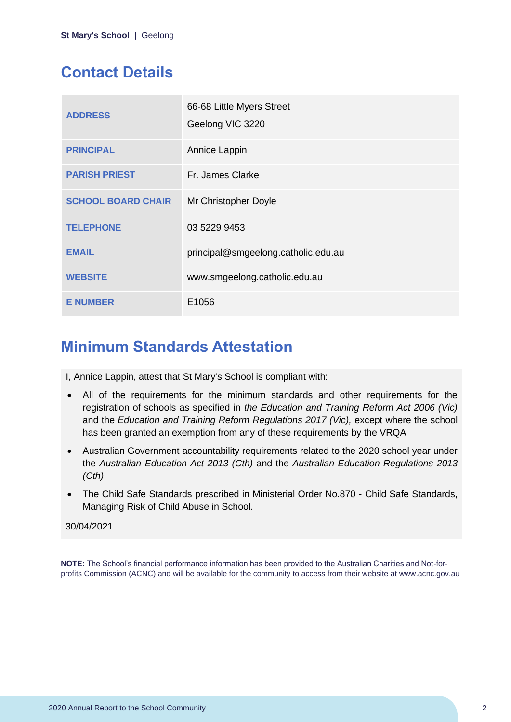# <span id="page-2-0"></span>**Contact Details**

| <b>ADDRESS</b>            | 66-68 Little Myers Street<br>Geelong VIC 3220 |
|---------------------------|-----------------------------------------------|
| <b>PRINCIPAL</b>          | Annice Lappin                                 |
| <b>PARISH PRIEST</b>      | Fr. James Clarke                              |
| <b>SCHOOL BOARD CHAIR</b> | Mr Christopher Doyle                          |
| <b>TELEPHONE</b>          | 03 5229 9453                                  |
| <b>EMAIL</b>              | principal@smgeelong.catholic.edu.au           |
| <b>WEBSITE</b>            | www.smgeelong.catholic.edu.au                 |
| <b>E NUMBER</b>           | E1056                                         |

## <span id="page-2-1"></span>**Minimum Standards Attestation**

I, Annice Lappin, attest that St Mary's School is compliant with:

- All of the requirements for the minimum standards and other requirements for the registration of schools as specified in *the Education and Training Reform Act 2006 (Vic)* and the *Education and Training Reform Regulations 2017 (Vic),* except where the school has been granted an exemption from any of these requirements by the VRQA
- Australian Government accountability requirements related to the 2020 school year under the *Australian Education Act 2013 (Cth)* and the *Australian Education Regulations 2013 (Cth)*
- The Child Safe Standards prescribed in Ministerial Order No.870 Child Safe Standards, Managing Risk of Child Abuse in School.

#### 30/04/2021

**NOTE:** The School's financial performance information has been provided to the Australian Charities and Not-forprofits Commission (ACNC) and will be available for the community to access from their website at www.acnc.gov.au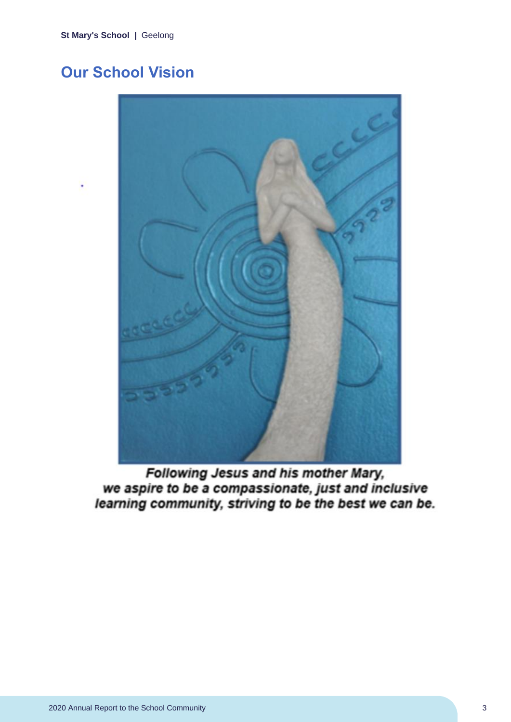# <span id="page-3-0"></span>**Our School Vision**



Following Jesus and his mother Mary, we aspire to be a compassionate, just and inclusive learning community, striving to be the best we can be.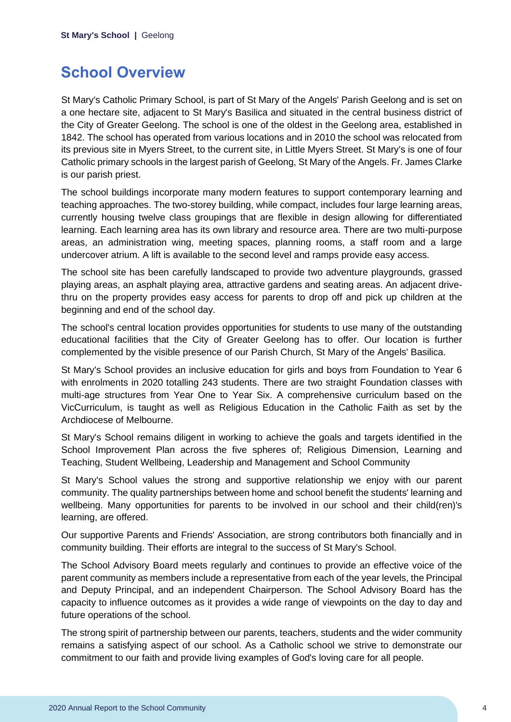### <span id="page-4-0"></span>**School Overview**

St Mary's Catholic Primary School, is part of St Mary of the Angels' Parish Geelong and is set on a one hectare site, adjacent to St Mary's Basilica and situated in the central business district of the City of Greater Geelong. The school is one of the oldest in the Geelong area, established in 1842. The school has operated from various locations and in 2010 the school was relocated from its previous site in Myers Street, to the current site, in Little Myers Street. St Mary's is one of four Catholic primary schools in the largest parish of Geelong, St Mary of the Angels. Fr. James Clarke is our parish priest.

The school buildings incorporate many modern features to support contemporary learning and teaching approaches. The two-storey building, while compact, includes four large learning areas, currently housing twelve class groupings that are flexible in design allowing for differentiated learning. Each learning area has its own library and resource area. There are two multi-purpose areas, an administration wing, meeting spaces, planning rooms, a staff room and a large undercover atrium. A lift is available to the second level and ramps provide easy access.

The school site has been carefully landscaped to provide two adventure playgrounds, grassed playing areas, an asphalt playing area, attractive gardens and seating areas. An adjacent drivethru on the property provides easy access for parents to drop off and pick up children at the beginning and end of the school day.

The school's central location provides opportunities for students to use many of the outstanding educational facilities that the City of Greater Geelong has to offer. Our location is further complemented by the visible presence of our Parish Church, St Mary of the Angels' Basilica.

St Mary's School provides an inclusive education for girls and boys from Foundation to Year 6 with enrolments in 2020 totalling 243 students. There are two straight Foundation classes with multi-age structures from Year One to Year Six. A comprehensive curriculum based on the VicCurriculum, is taught as well as Religious Education in the Catholic Faith as set by the Archdiocese of Melbourne.

St Mary's School remains diligent in working to achieve the goals and targets identified in the School Improvement Plan across the five spheres of; Religious Dimension, Learning and Teaching, Student Wellbeing, Leadership and Management and School Community

St Mary's School values the strong and supportive relationship we enjoy with our parent community. The quality partnerships between home and school benefit the students' learning and wellbeing. Many opportunities for parents to be involved in our school and their child(ren)'s learning, are offered.

Our supportive Parents and Friends' Association, are strong contributors both financially and in community building. Their efforts are integral to the success of St Mary's School.

The School Advisory Board meets regularly and continues to provide an effective voice of the parent community as members include a representative from each of the year levels, the Principal and Deputy Principal, and an independent Chairperson. The School Advisory Board has the capacity to influence outcomes as it provides a wide range of viewpoints on the day to day and future operations of the school.

The strong spirit of partnership between our parents, teachers, students and the wider community remains a satisfying aspect of our school. As a Catholic school we strive to demonstrate our commitment to our faith and provide living examples of God's loving care for all people.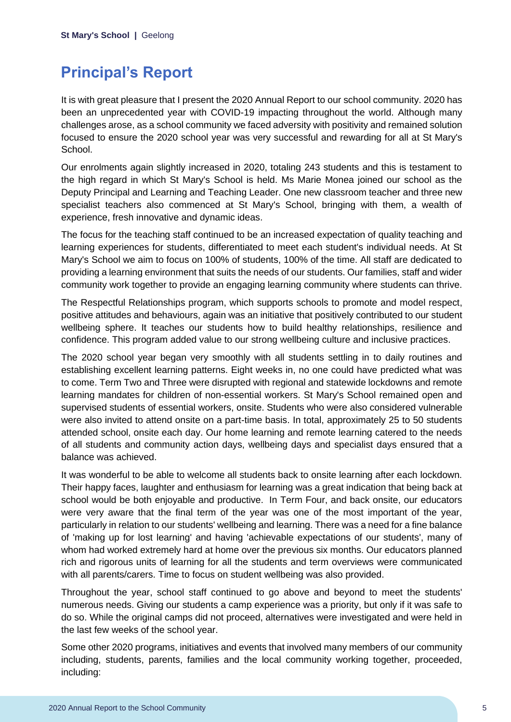# <span id="page-5-0"></span>**Principal's Report**

It is with great pleasure that I present the 2020 Annual Report to our school community. 2020 has been an unprecedented year with COVID-19 impacting throughout the world. Although many challenges arose, as a school community we faced adversity with positivity and remained solution focused to ensure the 2020 school year was very successful and rewarding for all at St Mary's School.

Our enrolments again slightly increased in 2020, totaling 243 students and this is testament to the high regard in which St Mary's School is held. Ms Marie Monea joined our school as the Deputy Principal and Learning and Teaching Leader. One new classroom teacher and three new specialist teachers also commenced at St Mary's School, bringing with them, a wealth of experience, fresh innovative and dynamic ideas.

The focus for the teaching staff continued to be an increased expectation of quality teaching and learning experiences for students, differentiated to meet each student's individual needs. At St Mary's School we aim to focus on 100% of students, 100% of the time. All staff are dedicated to providing a learning environment that suits the needs of our students. Our families, staff and wider community work together to provide an engaging learning community where students can thrive.

The Respectful Relationships program, which supports schools to promote and model respect, positive attitudes and behaviours, again was an initiative that positively contributed to our student wellbeing sphere. It teaches our students how to build healthy relationships, resilience and confidence. This program added value to our strong wellbeing culture and inclusive practices.

The 2020 school year began very smoothly with all students settling in to daily routines and establishing excellent learning patterns. Eight weeks in, no one could have predicted what was to come. Term Two and Three were disrupted with regional and statewide lockdowns and remote learning mandates for children of non-essential workers. St Mary's School remained open and supervised students of essential workers, onsite. Students who were also considered vulnerable were also invited to attend onsite on a part-time basis. In total, approximately 25 to 50 students attended school, onsite each day. Our home learning and remote learning catered to the needs of all students and community action days, wellbeing days and specialist days ensured that a balance was achieved.

It was wonderful to be able to welcome all students back to onsite learning after each lockdown. Their happy faces, laughter and enthusiasm for learning was a great indication that being back at school would be both enjoyable and productive. In Term Four, and back onsite, our educators were very aware that the final term of the year was one of the most important of the year, particularly in relation to our students' wellbeing and learning. There was a need for a fine balance of 'making up for lost learning' and having 'achievable expectations of our students', many of whom had worked extremely hard at home over the previous six months. Our educators planned rich and rigorous units of learning for all the students and term overviews were communicated with all parents/carers. Time to focus on student wellbeing was also provided.

Throughout the year, school staff continued to go above and beyond to meet the students' numerous needs. Giving our students a camp experience was a priority, but only if it was safe to do so. While the original camps did not proceed, alternatives were investigated and were held in the last few weeks of the school year.

Some other 2020 programs, initiatives and events that involved many members of our community including, students, parents, families and the local community working together, proceeded, including: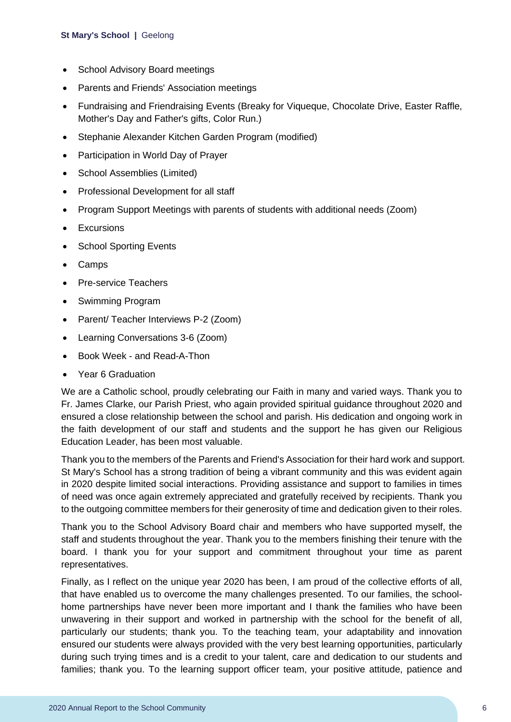- School Advisory Board meetings
- Parents and Friends' Association meetings
- Fundraising and Friendraising Events (Breaky for Viqueque, Chocolate Drive, Easter Raffle, Mother's Day and Father's gifts, Color Run.)
- Stephanie Alexander Kitchen Garden Program (modified)
- Participation in World Day of Prayer
- School Assemblies (Limited)
- Professional Development for all staff
- Program Support Meetings with parents of students with additional needs (Zoom)
- Excursions
- School Sporting Events
- Camps
- Pre-service Teachers
- Swimming Program
- Parent/ Teacher Interviews P-2 (Zoom)
- Learning Conversations 3-6 (Zoom)
- Book Week and Read-A-Thon
- Year 6 Graduation

We are a Catholic school, proudly celebrating our Faith in many and varied ways. Thank you to Fr. James Clarke, our Parish Priest, who again provided spiritual guidance throughout 2020 and ensured a close relationship between the school and parish. His dedication and ongoing work in the faith development of our staff and students and the support he has given our Religious Education Leader, has been most valuable.

Thank you to the members of the Parents and Friend's Association for their hard work and support. St Mary's School has a strong tradition of being a vibrant community and this was evident again in 2020 despite limited social interactions. Providing assistance and support to families in times of need was once again extremely appreciated and gratefully received by recipients. Thank you to the outgoing committee members for their generosity of time and dedication given to their roles.

Thank you to the School Advisory Board chair and members who have supported myself, the staff and students throughout the year. Thank you to the members finishing their tenure with the board. I thank you for your support and commitment throughout your time as parent representatives.

Finally, as I reflect on the unique year 2020 has been, I am proud of the collective efforts of all, that have enabled us to overcome the many challenges presented. To our families, the schoolhome partnerships have never been more important and I thank the families who have been unwavering in their support and worked in partnership with the school for the benefit of all, particularly our students; thank you. To the teaching team, your adaptability and innovation ensured our students were always provided with the very best learning opportunities, particularly during such trying times and is a credit to your talent, care and dedication to our students and families; thank you. To the learning support officer team, your positive attitude, patience and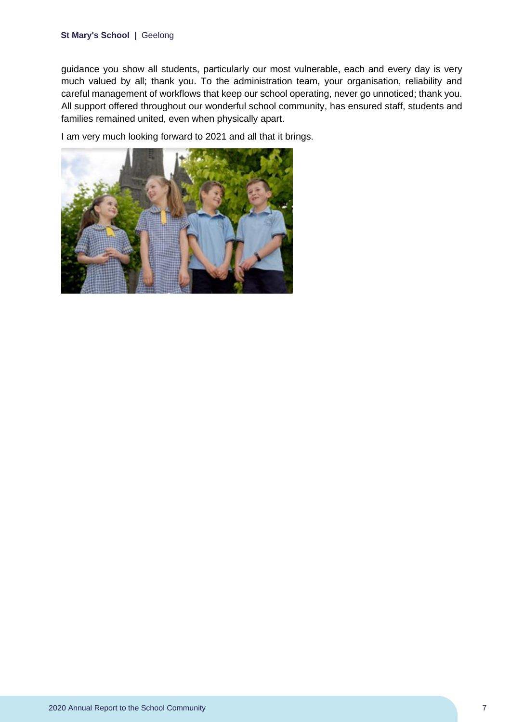guidance you show all students, particularly our most vulnerable, each and every day is very much valued by all; thank you. To the administration team, your organisation, reliability and careful management of workflows that keep our school operating, never go unnoticed; thank you. All support offered throughout our wonderful school community, has ensured staff, students and families remained united, even when physically apart.

I am very much looking forward to 2021 and all that it brings.

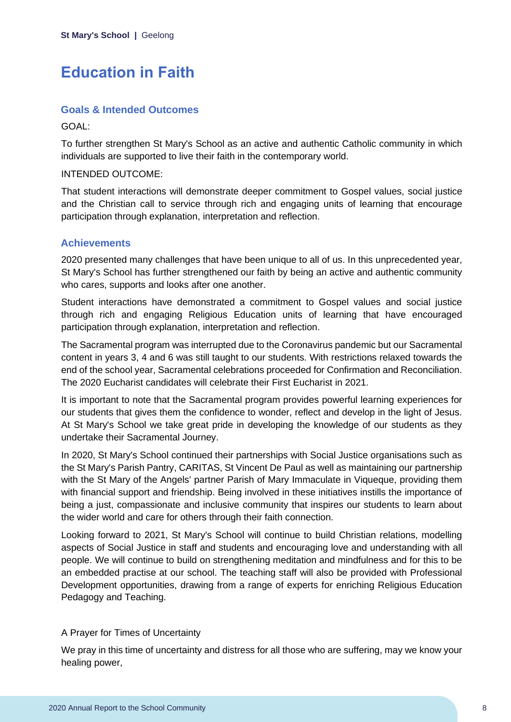# <span id="page-8-0"></span>**Education in Faith**

### **Goals & Intended Outcomes**

GOAL:

To further strengthen St Mary's School as an active and authentic Catholic community in which individuals are supported to live their faith in the contemporary world.

#### INTENDED OUTCOME:

That student interactions will demonstrate deeper commitment to Gospel values, social justice and the Christian call to service through rich and engaging units of learning that encourage participation through explanation, interpretation and reflection.

### **Achievements**

2020 presented many challenges that have been unique to all of us. In this unprecedented year, St Mary's School has further strengthened our faith by being an active and authentic community who cares, supports and looks after one another.

Student interactions have demonstrated a commitment to Gospel values and social justice through rich and engaging Religious Education units of learning that have encouraged participation through explanation, interpretation and reflection.

The Sacramental program was interrupted due to the Coronavirus pandemic but our Sacramental content in years 3, 4 and 6 was still taught to our students. With restrictions relaxed towards the end of the school year, Sacramental celebrations proceeded for Confirmation and Reconciliation. The 2020 Eucharist candidates will celebrate their First Eucharist in 2021.

It is important to note that the Sacramental program provides powerful learning experiences for our students that gives them the confidence to wonder, reflect and develop in the light of Jesus. At St Mary's School we take great pride in developing the knowledge of our students as they undertake their Sacramental Journey.

In 2020, St Mary's School continued their partnerships with Social Justice organisations such as the St Mary's Parish Pantry, CARITAS, St Vincent De Paul as well as maintaining our partnership with the St Mary of the Angels' partner Parish of Mary Immaculate in Viqueque, providing them with financial support and friendship. Being involved in these initiatives instills the importance of being a just, compassionate and inclusive community that inspires our students to learn about the wider world and care for others through their faith connection.

Looking forward to 2021, St Mary's School will continue to build Christian relations, modelling aspects of Social Justice in staff and students and encouraging love and understanding with all people. We will continue to build on strengthening meditation and mindfulness and for this to be an embedded practise at our school. The teaching staff will also be provided with Professional Development opportunities, drawing from a range of experts for enriching Religious Education Pedagogy and Teaching.

#### A Prayer for Times of Uncertainty

We pray in this time of uncertainty and distress for all those who are suffering, may we know your healing power,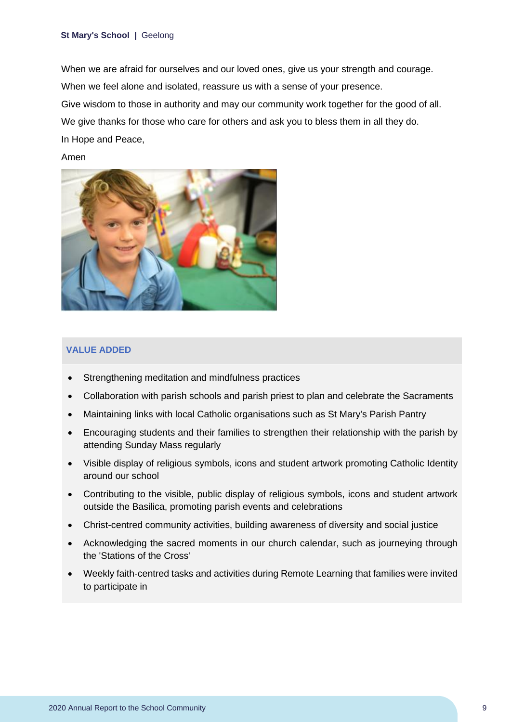When we are afraid for ourselves and our loved ones, give us your strength and courage. When we feel alone and isolated, reassure us with a sense of your presence. Give wisdom to those in authority and may our community work together for the good of all. We give thanks for those who care for others and ask you to bless them in all they do. In Hope and Peace,

Amen



#### **VALUE ADDED**

- Strengthening meditation and mindfulness practices
- Collaboration with parish schools and parish priest to plan and celebrate the Sacraments
- Maintaining links with local Catholic organisations such as St Mary's Parish Pantry
- Encouraging students and their families to strengthen their relationship with the parish by attending Sunday Mass regularly
- Visible display of religious symbols, icons and student artwork promoting Catholic Identity around our school
- Contributing to the visible, public display of religious symbols, icons and student artwork outside the Basilica, promoting parish events and celebrations
- Christ-centred community activities, building awareness of diversity and social justice
- Acknowledging the sacred moments in our church calendar, such as journeying through the 'Stations of the Cross'
- Weekly faith-centred tasks and activities during Remote Learning that families were invited to participate in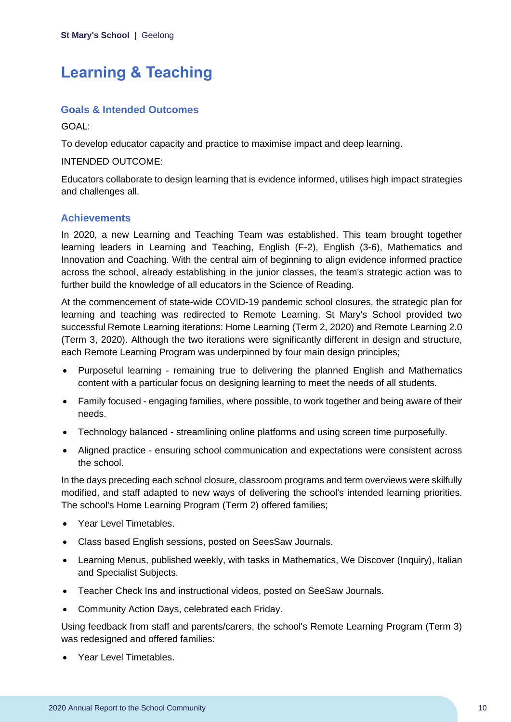# <span id="page-10-0"></span>**Learning & Teaching**

### **Goals & Intended Outcomes**

GOAL:

To develop educator capacity and practice to maximise impact and deep learning.

INTENDED OUTCOME:

Educators collaborate to design learning that is evidence informed, utilises high impact strategies and challenges all.

### **Achievements**

In 2020, a new Learning and Teaching Team was established. This team brought together learning leaders in Learning and Teaching, English (F-2), English (3-6), Mathematics and Innovation and Coaching. With the central aim of beginning to align evidence informed practice across the school, already establishing in the junior classes, the team's strategic action was to further build the knowledge of all educators in the Science of Reading.

At the commencement of state-wide COVID-19 pandemic school closures, the strategic plan for learning and teaching was redirected to Remote Learning. St Mary's School provided two successful Remote Learning iterations: Home Learning (Term 2, 2020) and Remote Learning 2.0 (Term 3, 2020). Although the two iterations were significantly different in design and structure, each Remote Learning Program was underpinned by four main design principles;

- Purposeful learning remaining true to delivering the planned English and Mathematics content with a particular focus on designing learning to meet the needs of all students.
- Family focused engaging families, where possible, to work together and being aware of their needs.
- Technology balanced streamlining online platforms and using screen time purposefully.
- Aligned practice ensuring school communication and expectations were consistent across the school.

In the days preceding each school closure, classroom programs and term overviews were skilfully modified, and staff adapted to new ways of delivering the school's intended learning priorities. The school's Home Learning Program (Term 2) offered families;

- Year Level Timetables.
- Class based English sessions, posted on SeesSaw Journals.
- Learning Menus, published weekly, with tasks in Mathematics, We Discover (Inquiry), Italian and Specialist Subjects.
- Teacher Check Ins and instructional videos, posted on SeeSaw Journals.
- Community Action Days, celebrated each Friday.

Using feedback from staff and parents/carers, the school's Remote Learning Program (Term 3) was redesigned and offered families:

• Year Level Timetables.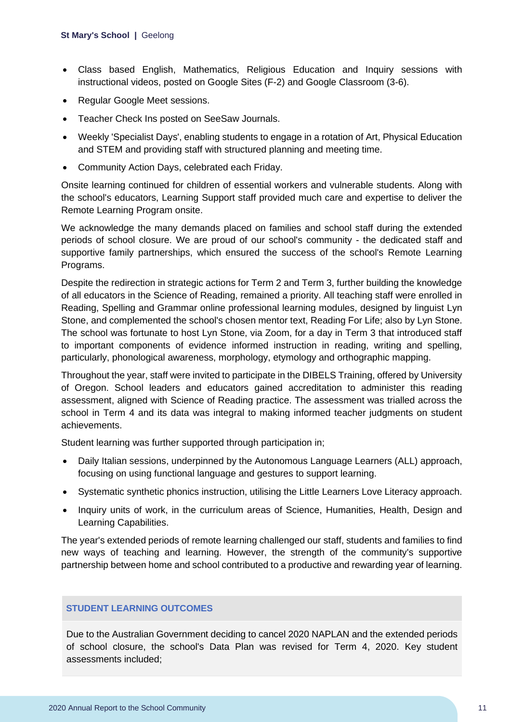- Class based English, Mathematics, Religious Education and Inquiry sessions with instructional videos, posted on Google Sites (F-2) and Google Classroom (3-6).
- Regular Google Meet sessions.
- Teacher Check Ins posted on SeeSaw Journals.
- Weekly 'Specialist Days', enabling students to engage in a rotation of Art, Physical Education and STEM and providing staff with structured planning and meeting time.
- Community Action Days, celebrated each Friday.

Onsite learning continued for children of essential workers and vulnerable students. Along with the school's educators, Learning Support staff provided much care and expertise to deliver the Remote Learning Program onsite.

We acknowledge the many demands placed on families and school staff during the extended periods of school closure. We are proud of our school's community - the dedicated staff and supportive family partnerships, which ensured the success of the school's Remote Learning Programs.

Despite the redirection in strategic actions for Term 2 and Term 3, further building the knowledge of all educators in the Science of Reading, remained a priority. All teaching staff were enrolled in Reading, Spelling and Grammar online professional learning modules, designed by linguist Lyn Stone, and complemented the school's chosen mentor text, Reading For Life; also by Lyn Stone. The school was fortunate to host Lyn Stone, via Zoom, for a day in Term 3 that introduced staff to important components of evidence informed instruction in reading, writing and spelling, particularly, phonological awareness, morphology, etymology and orthographic mapping.

Throughout the year, staff were invited to participate in the DIBELS Training, offered by University of Oregon. School leaders and educators gained accreditation to administer this reading assessment, aligned with Science of Reading practice. The assessment was trialled across the school in Term 4 and its data was integral to making informed teacher judgments on student achievements.

Student learning was further supported through participation in;

- Daily Italian sessions, underpinned by the Autonomous Language Learners (ALL) approach, focusing on using functional language and gestures to support learning.
- Systematic synthetic phonics instruction, utilising the Little Learners Love Literacy approach.
- Inquiry units of work, in the curriculum areas of Science, Humanities, Health, Design and Learning Capabilities.

The year's extended periods of remote learning challenged our staff, students and families to find new ways of teaching and learning. However, the strength of the community's supportive partnership between home and school contributed to a productive and rewarding year of learning.

#### **STUDENT LEARNING OUTCOMES**

Due to the Australian Government deciding to cancel 2020 NAPLAN and the extended periods of school closure, the school's Data Plan was revised for Term 4, 2020. Key student assessments included;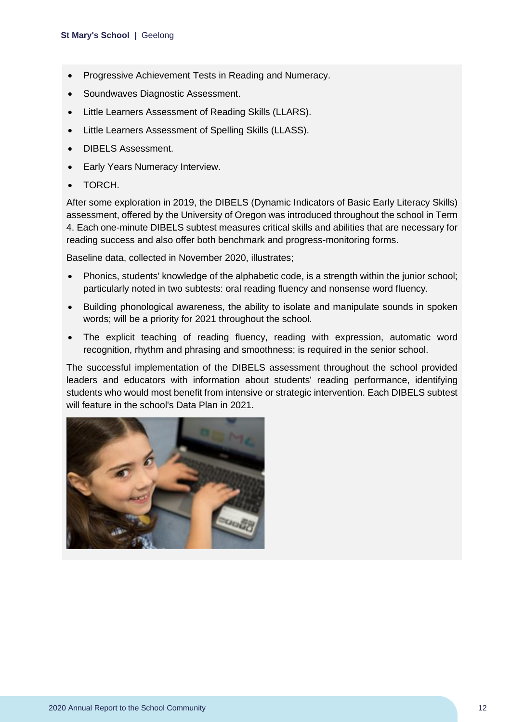- Progressive Achievement Tests in Reading and Numeracy.
- Soundwaves Diagnostic Assessment.
- Little Learners Assessment of Reading Skills (LLARS).
- Little Learners Assessment of Spelling Skills (LLASS).
- DIBELS Assessment.
- Early Years Numeracy Interview.
- TORCH.

After some exploration in 2019, the DIBELS (Dynamic Indicators of Basic Early Literacy Skills) assessment, offered by the University of Oregon was introduced throughout the school in Term 4. Each one-minute DIBELS subtest measures critical skills and abilities that are necessary for reading success and also offer both benchmark and progress-monitoring forms.

Baseline data, collected in November 2020, illustrates;

- Phonics, students' knowledge of the alphabetic code, is a strength within the junior school; particularly noted in two subtests: oral reading fluency and nonsense word fluency.
- Building phonological awareness, the ability to isolate and manipulate sounds in spoken words; will be a priority for 2021 throughout the school.
- The explicit teaching of reading fluency, reading with expression, automatic word recognition, rhythm and phrasing and smoothness; is required in the senior school.

The successful implementation of the DIBELS assessment throughout the school provided leaders and educators with information about students' reading performance, identifying students who would most benefit from intensive or strategic intervention. Each DIBELS subtest will feature in the school's Data Plan in 2021.

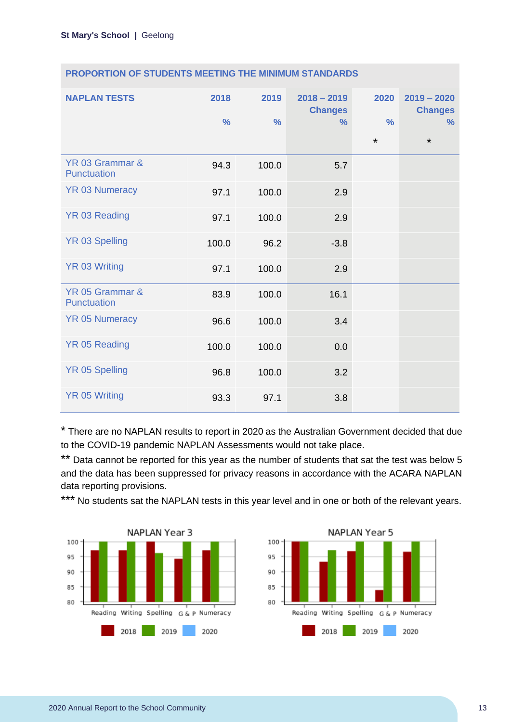|  |  |  | <b>PROPORTION OF STUDENTS MEETING THE MINIMUM STANDARDS</b> |
|--|--|--|-------------------------------------------------------------|
|--|--|--|-------------------------------------------------------------|

| <b>NAPLAN TESTS</b>            | 2018<br>$\frac{9}{6}$ | 2019<br>$\frac{0}{0}$ | $2018 - 2019$<br><b>Changes</b><br>$\%$ | 2020<br>$\frac{0}{0}$<br>$\star$ | $2019 - 2020$<br><b>Changes</b><br>$\%$<br>$\star$ |
|--------------------------------|-----------------------|-----------------------|-----------------------------------------|----------------------------------|----------------------------------------------------|
| YR 03 Grammar &<br>Punctuation | 94.3                  | 100.0                 | 5.7                                     |                                  |                                                    |
| <b>YR 03 Numeracy</b>          | 97.1                  | 100.0                 | 2.9                                     |                                  |                                                    |
| YR 03 Reading                  | 97.1                  | 100.0                 | 2.9                                     |                                  |                                                    |
| <b>YR 03 Spelling</b>          | 100.0                 | 96.2                  | $-3.8$                                  |                                  |                                                    |
| <b>YR 03 Writing</b>           | 97.1                  | 100.0                 | 2.9                                     |                                  |                                                    |
| YR 05 Grammar &<br>Punctuation | 83.9                  | 100.0                 | 16.1                                    |                                  |                                                    |
| <b>YR 05 Numeracy</b>          | 96.6                  | 100.0                 | 3.4                                     |                                  |                                                    |
| <b>YR 05 Reading</b>           | 100.0                 | 100.0                 | 0.0                                     |                                  |                                                    |
| <b>YR 05 Spelling</b>          | 96.8                  | 100.0                 | 3.2                                     |                                  |                                                    |
| <b>YR 05 Writing</b>           | 93.3                  | 97.1                  | 3.8                                     |                                  |                                                    |

\* There are no NAPLAN results to report in 2020 as the Australian Government decided that due to the COVID-19 pandemic NAPLAN Assessments would not take place.

\*\* Data cannot be reported for this year as the number of students that sat the test was below 5 and the data has been suppressed for privacy reasons in accordance with the ACARA NAPLAN data reporting provisions.

\*\*\* No students sat the NAPLAN tests in this year level and in one or both of the relevant years.



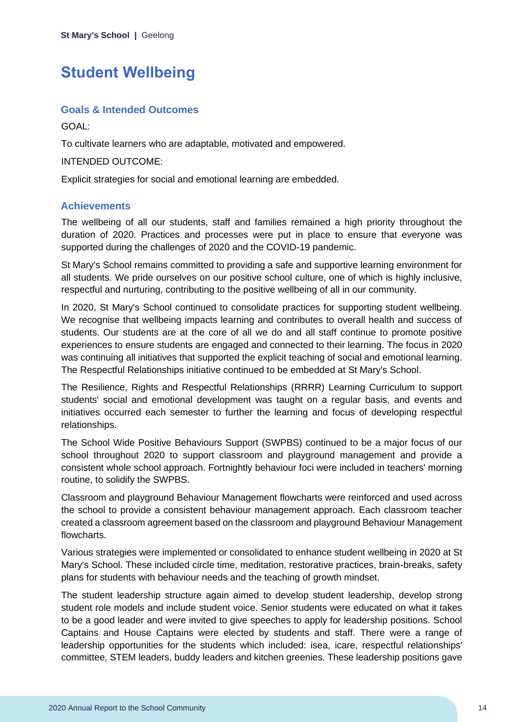# <span id="page-14-0"></span>**Student Wellbeing**

### **Goals & Intended Outcomes**

GOAL:

To cultivate learners who are adaptable, motivated and empowered.

INTENDED OUTCOME:

Explicit strategies for social and emotional learning are embedded.

#### **Achievements**

The wellbeing of all our students, staff and families remained a high priority throughout the duration of 2020. Practices and processes were put in place to ensure that everyone was supported during the challenges of 2020 and the COVID-19 pandemic.

St Mary's School remains committed to providing a safe and supportive learning environment for all students. We pride ourselves on our positive school culture, one of which is highly inclusive, respectful and nurturing, contributing to the positive wellbeing of all in our community.

In 2020, St Mary's School continued to consolidate practices for supporting student wellbeing. We recognise that wellbeing impacts learning and contributes to overall health and success of students. Our students are at the core of all we do and all staff continue to promote positive experiences to ensure students are engaged and connected to their learning. The focus in 2020 was continuing all initiatives that supported the explicit teaching of social and emotional learning. The Respectful Relationships initiative continued to be embedded at St Mary's School.

The Resilience, Rights and Respectful Relationships (RRRR) Learning Curriculum to support students' social and emotional development was taught on a regular basis, and events and initiatives occurred each semester to further the learning and focus of developing respectful relationships.

The School Wide Positive Behaviours Support (SWPBS) continued to be a major focus of our school throughout 2020 to support classroom and playground management and provide a consistent whole school approach. Fortnightly behaviour foci were included in teachers' morning routine, to solidify the SWPBS.

Classroom and playground Behaviour Management flowcharts were reinforced and used across the school to provide a consistent behaviour management approach. Each classroom teacher created a classroom agreement based on the classroom and playground Behaviour Management flowcharts.

Various strategies were implemented or consolidated to enhance student wellbeing in 2020 at St Mary's School. These included circle time, meditation, restorative practices, brain-breaks, safety plans for students with behaviour needs and the teaching of growth mindset.

The student leadership structure again aimed to develop student leadership, develop strong student role models and include student voice. Senior students were educated on what it takes to be a good leader and were invited to give speeches to apply for leadership positions. School Captains and House Captains were elected by students and staff. There were a range of leadership opportunities for the students which included: isea, icare, respectful relationships' committee, STEM leaders, buddy leaders and kitchen greenies. These leadership positions gave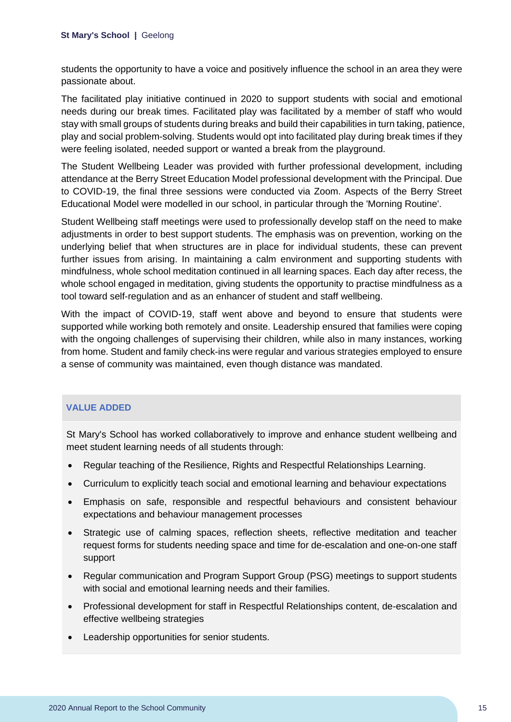students the opportunity to have a voice and positively influence the school in an area they were passionate about.

The facilitated play initiative continued in 2020 to support students with social and emotional needs during our break times. Facilitated play was facilitated by a member of staff who would stay with small groups of students during breaks and build their capabilities in turn taking, patience, play and social problem-solving. Students would opt into facilitated play during break times if they were feeling isolated, needed support or wanted a break from the playground.

The Student Wellbeing Leader was provided with further professional development, including attendance at the Berry Street Education Model professional development with the Principal. Due to COVID-19, the final three sessions were conducted via Zoom. Aspects of the Berry Street Educational Model were modelled in our school, in particular through the 'Morning Routine'.

Student Wellbeing staff meetings were used to professionally develop staff on the need to make adjustments in order to best support students. The emphasis was on prevention, working on the underlying belief that when structures are in place for individual students, these can prevent further issues from arising. In maintaining a calm environment and supporting students with mindfulness, whole school meditation continued in all learning spaces. Each day after recess, the whole school engaged in meditation, giving students the opportunity to practise mindfulness as a tool toward self-regulation and as an enhancer of student and staff wellbeing.

With the impact of COVID-19, staff went above and beyond to ensure that students were supported while working both remotely and onsite. Leadership ensured that families were coping with the ongoing challenges of supervising their children, while also in many instances, working from home. Student and family check-ins were regular and various strategies employed to ensure a sense of community was maintained, even though distance was mandated.

#### **VALUE ADDED**

St Mary's School has worked collaboratively to improve and enhance student wellbeing and meet student learning needs of all students through:

- Regular teaching of the Resilience, Rights and Respectful Relationships Learning.
- Curriculum to explicitly teach social and emotional learning and behaviour expectations
- Emphasis on safe, responsible and respectful behaviours and consistent behaviour expectations and behaviour management processes
- Strategic use of calming spaces, reflection sheets, reflective meditation and teacher request forms for students needing space and time for de-escalation and one-on-one staff support
- Regular communication and Program Support Group (PSG) meetings to support students with social and emotional learning needs and their families.
- Professional development for staff in Respectful Relationships content, de-escalation and effective wellbeing strategies
- Leadership opportunities for senior students.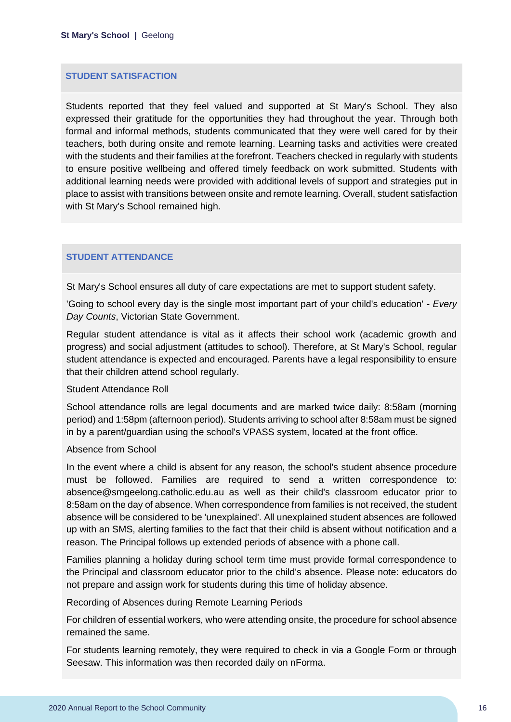#### **STUDENT SATISFACTION**

Students reported that they feel valued and supported at St Mary's School. They also expressed their gratitude for the opportunities they had throughout the year. Through both formal and informal methods, students communicated that they were well cared for by their teachers, both during onsite and remote learning. Learning tasks and activities were created with the students and their families at the forefront. Teachers checked in regularly with students to ensure positive wellbeing and offered timely feedback on work submitted. Students with additional learning needs were provided with additional levels of support and strategies put in place to assist with transitions between onsite and remote learning. Overall, student satisfaction with St Mary's School remained high.

#### **STUDENT ATTENDANCE**

St Mary's School ensures all duty of care expectations are met to support student safety.

'Going to school every day is the single most important part of your child's education' - *Every Day Counts*, Victorian State Government.

Regular student attendance is vital as it affects their school work (academic growth and progress) and social adjustment (attitudes to school). Therefore, at St Mary's School, regular student attendance is expected and encouraged. Parents have a legal responsibility to ensure that their children attend school regularly.

#### Student Attendance Roll

School attendance rolls are legal documents and are marked twice daily: 8:58am (morning period) and 1:58pm (afternoon period). Students arriving to school after 8:58am must be signed in by a parent/guardian using the school's VPASS system, located at the front office.

#### Absence from School

In the event where a child is absent for any reason, the school's student absence procedure must be followed. Families are required to send a written correspondence to: absence@smgeelong.catholic.edu.au as well as their child's classroom educator prior to 8:58am on the day of absence. When correspondence from families is not received, the student absence will be considered to be 'unexplained'. All unexplained student absences are followed up with an SMS, alerting families to the fact that their child is absent without notification and a reason. The Principal follows up extended periods of absence with a phone call.

Families planning a holiday during school term time must provide formal correspondence to the Principal and classroom educator prior to the child's absence. Please note: educators do not prepare and assign work for students during this time of holiday absence.

Recording of Absences during Remote Learning Periods

For children of essential workers, who were attending onsite, the procedure for school absence remained the same.

For students learning remotely, they were required to check in via a Google Form or through Seesaw. This information was then recorded daily on nForma.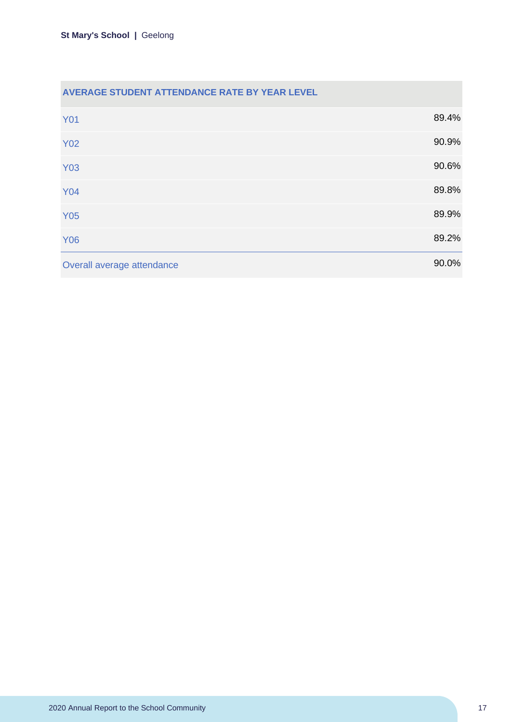| AVERAGE STUDENT ATTENDANCE RATE BY YEAR LEVEL |       |
|-----------------------------------------------|-------|
| <b>Y01</b>                                    | 89.4% |
| <b>Y02</b>                                    | 90.9% |
| <b>Y03</b>                                    | 90.6% |
| <b>Y04</b>                                    | 89.8% |
| <b>Y05</b>                                    | 89.9% |
| <b>Y06</b>                                    | 89.2% |
| Overall average attendance                    | 90.0% |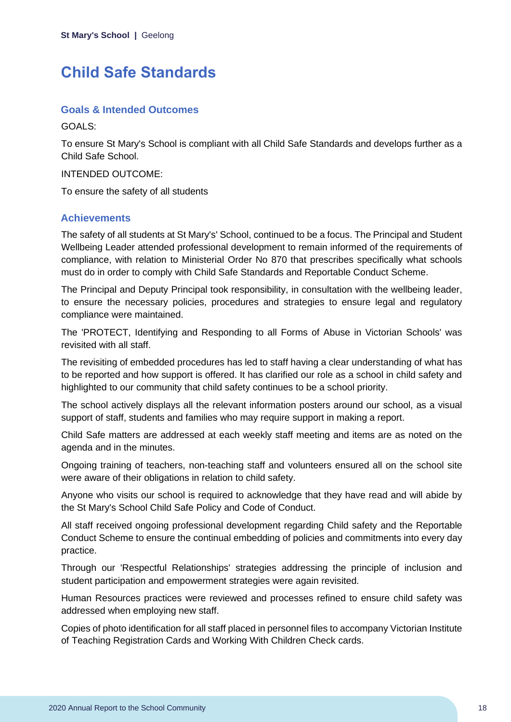# <span id="page-18-0"></span>**Child Safe Standards**

#### **Goals & Intended Outcomes**

GOALS:

To ensure St Mary's School is compliant with all Child Safe Standards and develops further as a Child Safe School.

INTENDED OUTCOME:

To ensure the safety of all students

### **Achievements**

The safety of all students at St Mary's' School, continued to be a focus. The Principal and Student Wellbeing Leader attended professional development to remain informed of the requirements of compliance, with relation to Ministerial Order No 870 that prescribes specifically what schools must do in order to comply with Child Safe Standards and Reportable Conduct Scheme.

The Principal and Deputy Principal took responsibility, in consultation with the wellbeing leader, to ensure the necessary policies, procedures and strategies to ensure legal and regulatory compliance were maintained.

The 'PROTECT, Identifying and Responding to all Forms of Abuse in Victorian Schools' was revisited with all staff.

The revisiting of embedded procedures has led to staff having a clear understanding of what has to be reported and how support is offered. It has clarified our role as a school in child safety and highlighted to our community that child safety continues to be a school priority.

The school actively displays all the relevant information posters around our school, as a visual support of staff, students and families who may require support in making a report.

Child Safe matters are addressed at each weekly staff meeting and items are as noted on the agenda and in the minutes.

Ongoing training of teachers, non-teaching staff and volunteers ensured all on the school site were aware of their obligations in relation to child safety.

Anyone who visits our school is required to acknowledge that they have read and will abide by the St Mary's School Child Safe Policy and Code of Conduct.

All staff received ongoing professional development regarding Child safety and the Reportable Conduct Scheme to ensure the continual embedding of policies and commitments into every day practice.

Through our 'Respectful Relationships' strategies addressing the principle of inclusion and student participation and empowerment strategies were again revisited.

Human Resources practices were reviewed and processes refined to ensure child safety was addressed when employing new staff.

Copies of photo identification for all staff placed in personnel files to accompany Victorian Institute of Teaching Registration Cards and Working With Children Check cards.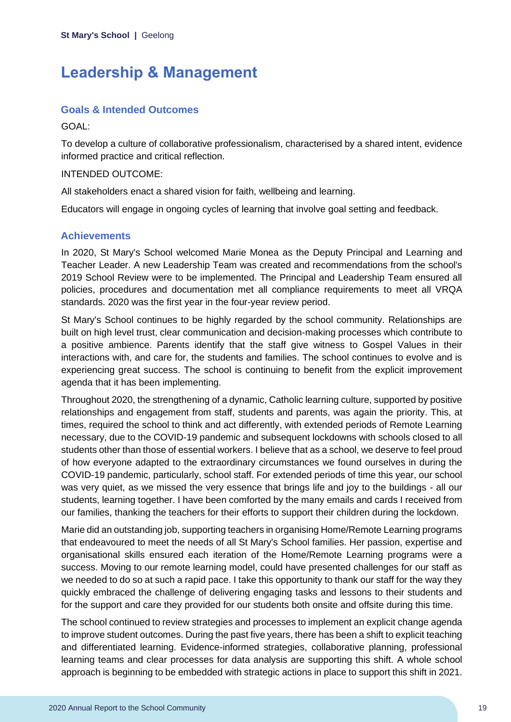# <span id="page-19-0"></span>**Leadership & Management**

### **Goals & Intended Outcomes**

GOAL:

To develop a culture of collaborative professionalism, characterised by a shared intent, evidence informed practice and critical reflection.

### INTENDED OUTCOME:

All stakeholders enact a shared vision for faith, wellbeing and learning.

Educators will engage in ongoing cycles of learning that involve goal setting and feedback.

### **Achievements**

In 2020, St Mary's School welcomed Marie Monea as the Deputy Principal and Learning and Teacher Leader. A new Leadership Team was created and recommendations from the school's 2019 School Review were to be implemented. The Principal and Leadership Team ensured all policies, procedures and documentation met all compliance requirements to meet all VRQA standards. 2020 was the first year in the four-year review period.

St Mary's School continues to be highly regarded by the school community. Relationships are built on high level trust, clear communication and decision-making processes which contribute to a positive ambience. Parents identify that the staff give witness to Gospel Values in their interactions with, and care for, the students and families. The school continues to evolve and is experiencing great success. The school is continuing to benefit from the explicit improvement agenda that it has been implementing.

Throughout 2020, the strengthening of a dynamic, Catholic learning culture, supported by positive relationships and engagement from staff, students and parents, was again the priority. This, at times, required the school to think and act differently, with extended periods of Remote Learning necessary, due to the COVID-19 pandemic and subsequent lockdowns with schools closed to all students other than those of essential workers. I believe that as a school, we deserve to feel proud of how everyone adapted to the extraordinary circumstances we found ourselves in during the COVID-19 pandemic, particularly, school staff. For extended periods of time this year, our school was very quiet, as we missed the very essence that brings life and joy to the buildings - all our students, learning together. I have been comforted by the many emails and cards I received from our families, thanking the teachers for their efforts to support their children during the lockdown.

Marie did an outstanding job, supporting teachers in organising Home/Remote Learning programs that endeavoured to meet the needs of all St Mary's School families. Her passion, expertise and organisational skills ensured each iteration of the Home/Remote Learning programs were a success. Moving to our remote learning model, could have presented challenges for our staff as we needed to do so at such a rapid pace. I take this opportunity to thank our staff for the way they quickly embraced the challenge of delivering engaging tasks and lessons to their students and for the support and care they provided for our students both onsite and offsite during this time.

The school continued to review strategies and processes to implement an explicit change agenda to improve student outcomes. During the past five years, there has been a shift to explicit teaching and differentiated learning. Evidence-informed strategies, collaborative planning, professional learning teams and clear processes for data analysis are supporting this shift. A whole school approach is beginning to be embedded with strategic actions in place to support this shift in 2021.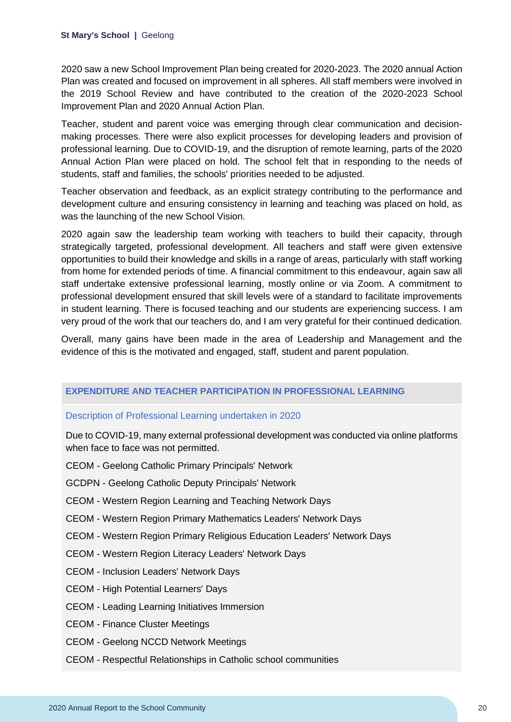2020 saw a new School Improvement Plan being created for 2020-2023. The 2020 annual Action Plan was created and focused on improvement in all spheres. All staff members were involved in the 2019 School Review and have contributed to the creation of the 2020-2023 School Improvement Plan and 2020 Annual Action Plan.

Teacher, student and parent voice was emerging through clear communication and decisionmaking processes. There were also explicit processes for developing leaders and provision of professional learning. Due to COVID-19, and the disruption of remote learning, parts of the 2020 Annual Action Plan were placed on hold. The school felt that in responding to the needs of students, staff and families, the schools' priorities needed to be adjusted.

Teacher observation and feedback, as an explicit strategy contributing to the performance and development culture and ensuring consistency in learning and teaching was placed on hold, as was the launching of the new School Vision.

2020 again saw the leadership team working with teachers to build their capacity, through strategically targeted, professional development. All teachers and staff were given extensive opportunities to build their knowledge and skills in a range of areas, particularly with staff working from home for extended periods of time. A financial commitment to this endeavour, again saw all staff undertake extensive professional learning, mostly online or via Zoom. A commitment to professional development ensured that skill levels were of a standard to facilitate improvements in student learning. There is focused teaching and our students are experiencing success. I am very proud of the work that our teachers do, and I am very grateful for their continued dedication.

Overall, many gains have been made in the area of Leadership and Management and the evidence of this is the motivated and engaged, staff, student and parent population.

#### **EXPENDITURE AND TEACHER PARTICIPATION IN PROFESSIONAL LEARNING**

#### Description of Professional Learning undertaken in 2020

Due to COVID-19, many external professional development was conducted via online platforms when face to face was not permitted.

- CEOM Geelong Catholic Primary Principals' Network
- GCDPN Geelong Catholic Deputy Principals' Network
- CEOM Western Region Learning and Teaching Network Days
- CEOM Western Region Primary Mathematics Leaders' Network Days
- CEOM Western Region Primary Religious Education Leaders' Network Days
- CEOM Western Region Literacy Leaders' Network Days
- CEOM Inclusion Leaders' Network Days
- CEOM High Potential Learners' Days
- CEOM Leading Learning Initiatives Immersion
- CEOM Finance Cluster Meetings
- CEOM Geelong NCCD Network Meetings
- CEOM Respectful Relationships in Catholic school communities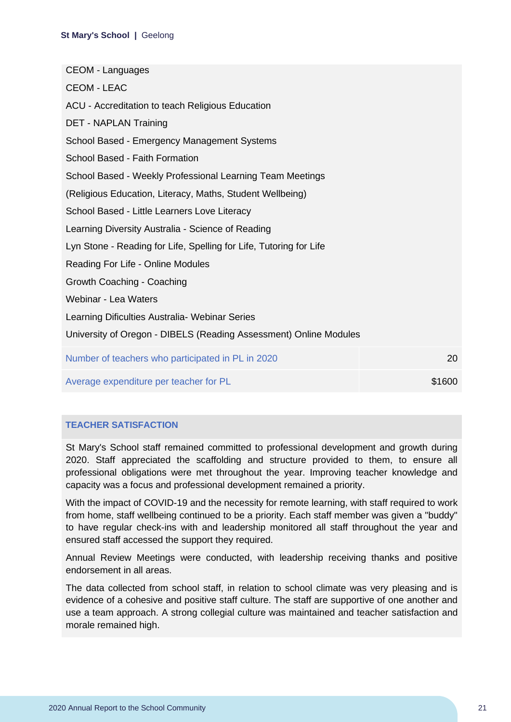| <b>CEOM - Languages</b>                                            |        |
|--------------------------------------------------------------------|--------|
| <b>CEOM - LEAC</b>                                                 |        |
| ACU - Accreditation to teach Religious Education                   |        |
| <b>DET - NAPLAN Training</b>                                       |        |
| School Based - Emergency Management Systems                        |        |
| School Based - Faith Formation                                     |        |
| School Based - Weekly Professional Learning Team Meetings          |        |
| (Religious Education, Literacy, Maths, Student Wellbeing)          |        |
| School Based - Little Learners Love Literacy                       |        |
| Learning Diversity Australia - Science of Reading                  |        |
| Lyn Stone - Reading for Life, Spelling for Life, Tutoring for Life |        |
| Reading For Life - Online Modules                                  |        |
| Growth Coaching - Coaching                                         |        |
| Webinar - Lea Waters                                               |        |
| Learning Dificulties Australia- Webinar Series                     |        |
| University of Oregon - DIBELS (Reading Assessment) Online Modules  |        |
| Number of teachers who participated in PL in 2020                  | 20     |
| Average expenditure per teacher for PL                             | \$1600 |

#### **TEACHER SATISFACTION**

St Mary's School staff remained committed to professional development and growth during 2020. Staff appreciated the scaffolding and structure provided to them, to ensure all professional obligations were met throughout the year. Improving teacher knowledge and capacity was a focus and professional development remained a priority.

With the impact of COVID-19 and the necessity for remote learning, with staff required to work from home, staff wellbeing continued to be a priority. Each staff member was given a "buddy" to have regular check-ins with and leadership monitored all staff throughout the year and ensured staff accessed the support they required.

Annual Review Meetings were conducted, with leadership receiving thanks and positive endorsement in all areas.

The data collected from school staff, in relation to school climate was very pleasing and is evidence of a cohesive and positive staff culture. The staff are supportive of one another and use a team approach. A strong collegial culture was maintained and teacher satisfaction and morale remained high.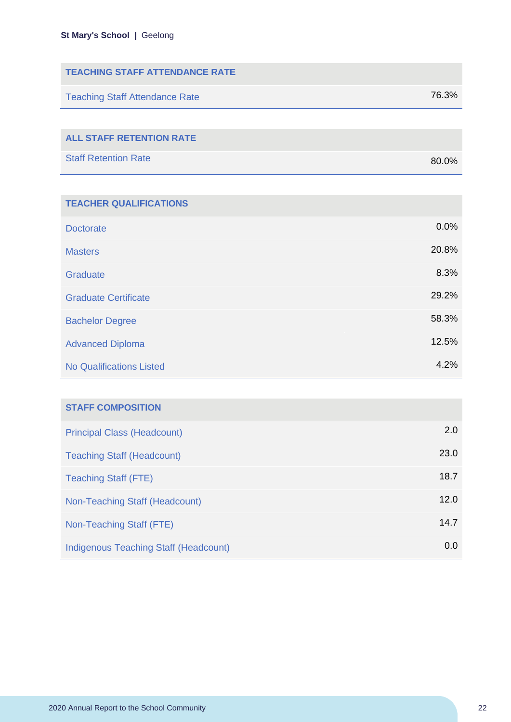| <b>TEACHING STAFF ATTENDANCE RATE</b> |       |
|---------------------------------------|-------|
| <b>Teaching Staff Attendance Rate</b> | 76.3% |
|                                       |       |
| <b>ALL STAFF RETENTION RATE</b>       |       |

| <b>Staff Retention Rate</b> |  | 80.0% |
|-----------------------------|--|-------|

| <b>TEACHER QUALIFICATIONS</b>   |       |
|---------------------------------|-------|
| <b>Doctorate</b>                | 0.0%  |
| <b>Masters</b>                  | 20.8% |
| Graduate                        | 8.3%  |
| <b>Graduate Certificate</b>     | 29.2% |
| <b>Bachelor Degree</b>          | 58.3% |
| <b>Advanced Diploma</b>         | 12.5% |
| <b>No Qualifications Listed</b> | 4.2%  |

| <b>STAFF COMPOSITION</b>                     |      |
|----------------------------------------------|------|
| <b>Principal Class (Headcount)</b>           | 2.0  |
| <b>Teaching Staff (Headcount)</b>            | 23.0 |
| <b>Teaching Staff (FTE)</b>                  | 18.7 |
| Non-Teaching Staff (Headcount)               | 12.0 |
| Non-Teaching Staff (FTE)                     | 14.7 |
| <b>Indigenous Teaching Staff (Headcount)</b> | 0.0  |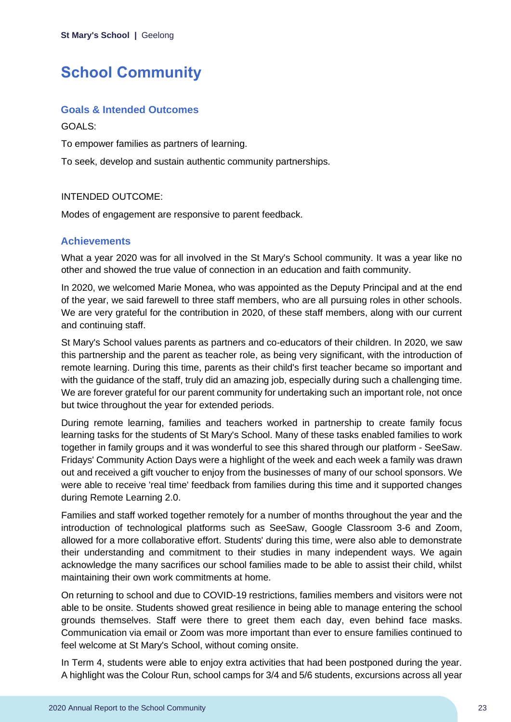# <span id="page-23-0"></span>**School Community**

#### **Goals & Intended Outcomes**

GOALS:

To empower families as partners of learning.

To seek, develop and sustain authentic community partnerships.

#### INTENDED OUTCOME:

Modes of engagement are responsive to parent feedback.

### **Achievements**

What a year 2020 was for all involved in the St Mary's School community. It was a year like no other and showed the true value of connection in an education and faith community.

In 2020, we welcomed Marie Monea, who was appointed as the Deputy Principal and at the end of the year, we said farewell to three staff members, who are all pursuing roles in other schools. We are very grateful for the contribution in 2020, of these staff members, along with our current and continuing staff.

St Mary's School values parents as partners and co-educators of their children. In 2020, we saw this partnership and the parent as teacher role, as being very significant, with the introduction of remote learning. During this time, parents as their child's first teacher became so important and with the guidance of the staff, truly did an amazing job, especially during such a challenging time. We are forever grateful for our parent community for undertaking such an important role, not once but twice throughout the year for extended periods.

During remote learning, families and teachers worked in partnership to create family focus learning tasks for the students of St Mary's School. Many of these tasks enabled families to work together in family groups and it was wonderful to see this shared through our platform - SeeSaw. Fridays' Community Action Days were a highlight of the week and each week a family was drawn out and received a gift voucher to enjoy from the businesses of many of our school sponsors. We were able to receive 'real time' feedback from families during this time and it supported changes during Remote Learning 2.0.

Families and staff worked together remotely for a number of months throughout the year and the introduction of technological platforms such as SeeSaw, Google Classroom 3-6 and Zoom, allowed for a more collaborative effort. Students' during this time, were also able to demonstrate their understanding and commitment to their studies in many independent ways. We again acknowledge the many sacrifices our school families made to be able to assist their child, whilst maintaining their own work commitments at home.

On returning to school and due to COVID-19 restrictions, families members and visitors were not able to be onsite. Students showed great resilience in being able to manage entering the school grounds themselves. Staff were there to greet them each day, even behind face masks. Communication via email or Zoom was more important than ever to ensure families continued to feel welcome at St Mary's School, without coming onsite.

In Term 4, students were able to enjoy extra activities that had been postponed during the year. A highlight was the Colour Run, school camps for 3/4 and 5/6 students, excursions across all year